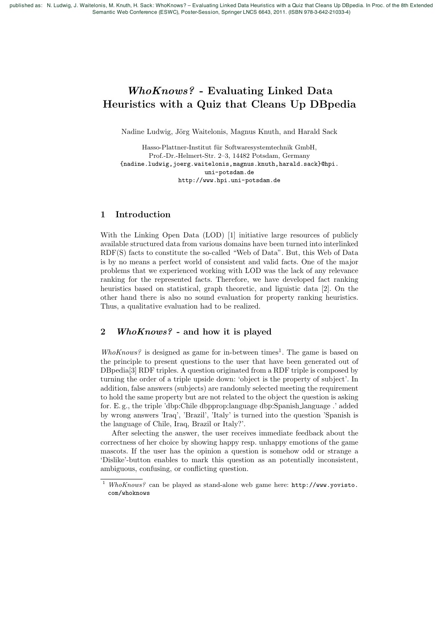published as: N. Ludwig, J. Waitelonis, M. Knuth, H. Sack: WhoKnows? – Evaluating Linked Data Heuristics with a Quiz that Cleans Up DBpedia. In Proc. of the 8th Extended Semantic Web Conference (ESWC), Poster-Session, Springer LNCS 6643, 2011. (ISBN 978-3-642-21033-4)

# *WhoKnows?* - Evaluating Linked Data Heuristics with a Quiz that Cleans Up DBpedia

Nadine Ludwig, Jörg Waitelonis, Magnus Knuth, and Harald Sack

Hasso-Plattner-Institut für Softwaresystemtechnik GmbH, Prof.-Dr.-Helmert-Str. 2–3, 14482 Potsdam, Germany {nadine.ludwig,joerg.waitelonis,magnus.knuth,harald.sack}@hpi. uni-potsdam.de http://www.hpi.uni-potsdam.de

### 1 Introduction

With the Linking Open Data (LOD) [1] initiative large resources of publicly available structured data from various domains have been turned into interlinked RDF(S) facts to constitute the so-called "Web of Data". But, this Web of Data is by no means a perfect world of consistent and valid facts. One of the major problems that we experienced working with LOD was the lack of any relevance ranking for the represented facts. Therefore, we have developed fact ranking heuristics based on statistical, graph theoretic, and liguistic data [2]. On the other hand there is also no sound evaluation for property ranking heuristics. Thus, a qualitative evaluation had to be realized.

# 2 *WhoKnows?* - and how it is played

*WhoKnows?* is designed as game for in-between times<sup>1</sup>. The game is based on the principle to present questions to the user that have been generated out of DBpedia[3] RDF triples. A question originated from a RDF triple is composed by turning the order of a triple upside down: 'object is the property of subject'. In addition, false answers (subjects) are randomly selected meeting the requirement to hold the same property but are not related to the object the question is asking for. E. g., the triple 'dbp:Chile dbpprop:language dbp:Spanish language .' added by wrong answers 'Iraq', 'Brazil', 'Italy' is turned into the question 'Spanish is the language of Chile, Iraq, Brazil or Italy?'.

After selecting the answer, the user receives immediate feedback about the correctness of her choice by showing happy resp. unhappy emotions of the game mascots. If the user has the opinion a question is somehow odd or strange a 'Dislike'-button enables to mark this question as an potentially inconsistent, ambiguous, confusing, or conflicting question.

<sup>1</sup> *WhoKnows?* can be played as stand-alone web game here: http://www.yovisto. com/whoknows